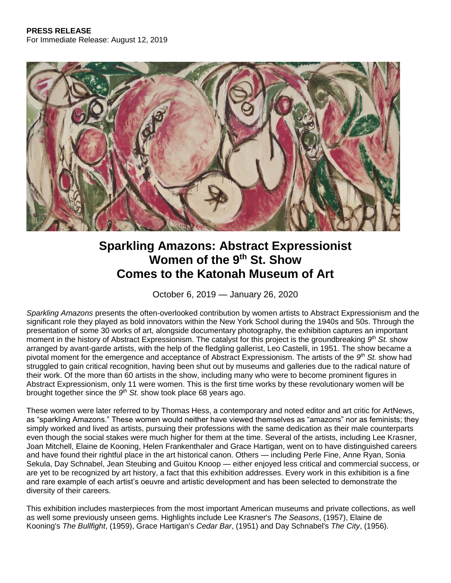

## **Sparkling Amazons: Abstract Expressionist Women of the 9th St. Show Comes to the Katonah Museum of Art**

October 6, 2019 — January 26, 2020

*Sparkling Amazons* presents the often-overlooked contribution by women artists to Abstract Expressionism and the significant role they played as bold innovators within the New York School during the 1940s and 50s. Through the presentation of some 30 works of art, alongside documentary photography, the exhibition captures an important moment in the history of Abstract Expressionism. The catalyst for this project is the groundbreaking 9<sup>th</sup> St. show arranged by avant-garde artists, with the help of the fledgling gallerist, Leo Castelli, in 1951. The show became a pivotal moment for the emergence and acceptance of Abstract Expressionism. The artists of the 9<sup>th</sup> St. show had struggled to gain critical recognition, having been shut out by museums and galleries due to the radical nature of their work. Of the more than 60 artists in the show, including many who were to become prominent figures in Abstract Expressionism, only 11 were women. This is the first time works by these revolutionary women will be brought together since the *9 th St.* show took place 68 years ago.

These women were later referred to by Thomas Hess, a contemporary and noted editor and art critic for ArtNews, as "sparkling Amazons." These women would neither have viewed themselves as "amazons" nor as feminists; they simply worked and lived as artists, pursuing their professions with the same dedication as their male counterparts even though the social stakes were much higher for them at the time. Several of the artists, including Lee Krasner, Joan Mitchell, Elaine de Kooning, Helen Frankenthaler and Grace Hartigan, went on to have distinguished careers and have found their rightful place in the art historical canon. Others — including Perle Fine, Anne Ryan, Sonia Sekula, Day Schnabel, Jean Steubing and Guitou Knoop — either enjoyed less critical and commercial success, or are yet to be recognized by art history, a fact that this exhibition addresses. Every work in this exhibition is a fine and rare example of each artist's oeuvre and artistic development and has been selected to demonstrate the diversity of their careers.

This exhibition includes masterpieces from the most important American museums and private collections, as well as well some previously unseen gems. Highlights include Lee Krasner's *The Seasons*, (1957), Elaine de Kooning's *The Bullfight*, (1959), Grace Hartigan's *Cedar Bar*, (1951) and Day Schnabel's *The City*, (1956).